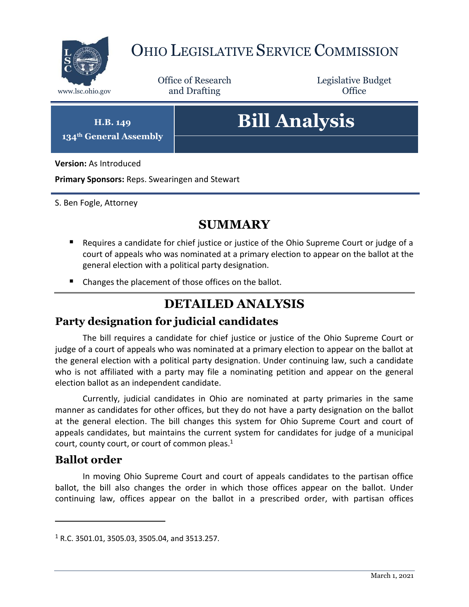

# OHIO LEGISLATIVE SERVICE COMMISSION

Office of Research www.lsc.ohio.gov **and Drafting Office** 

Legislative Budget

**H.B. 149 134th General Assembly**

# **Bill Analysis**

**Version:** As Introduced

**Primary Sponsors:** Reps. Swearingen and Stewart

S. Ben Fogle, Attorney

#### **SUMMARY**

- Requires a candidate for chief justice or justice of the Ohio Supreme Court or judge of a court of appeals who was nominated at a primary election to appear on the ballot at the general election with a political party designation.
- Changes the placement of those offices on the ballot.

## **DETAILED ANALYSIS**

#### **Party designation for judicial candidates**

The bill requires a candidate for chief justice or justice of the Ohio Supreme Court or judge of a court of appeals who was nominated at a primary election to appear on the ballot at the general election with a political party designation. Under continuing law, such a candidate who is not affiliated with a party may file a nominating petition and appear on the general election ballot as an independent candidate.

Currently, judicial candidates in Ohio are nominated at party primaries in the same manner as candidates for other offices, but they do not have a party designation on the ballot at the general election. The bill changes this system for Ohio Supreme Court and court of appeals candidates, but maintains the current system for candidates for judge of a municipal court, county court, or court of common pleas.<sup>1</sup>

#### **Ballot order**

 $\overline{a}$ 

In moving Ohio Supreme Court and court of appeals candidates to the partisan office ballot, the bill also changes the order in which those offices appear on the ballot. Under continuing law, offices appear on the ballot in a prescribed order, with partisan offices

 $1$  R.C. 3501.01, 3505.03, 3505.04, and 3513.257.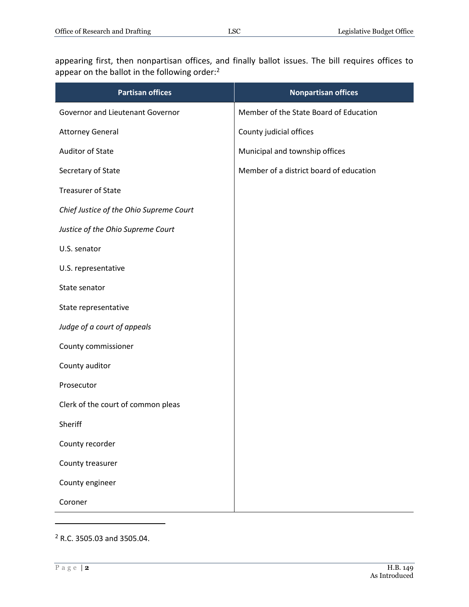appearing first, then nonpartisan offices, and finally ballot issues. The bill requires offices to appear on the ballot in the following order:<sup>2</sup>

| <b>Partisan offices</b>                 | <b>Nonpartisan offices</b>              |
|-----------------------------------------|-----------------------------------------|
| Governor and Lieutenant Governor        | Member of the State Board of Education  |
| <b>Attorney General</b>                 | County judicial offices                 |
| <b>Auditor of State</b>                 | Municipal and township offices          |
| Secretary of State                      | Member of a district board of education |
| <b>Treasurer of State</b>               |                                         |
| Chief Justice of the Ohio Supreme Court |                                         |
| Justice of the Ohio Supreme Court       |                                         |
| U.S. senator                            |                                         |
| U.S. representative                     |                                         |
| State senator                           |                                         |
| State representative                    |                                         |
| Judge of a court of appeals             |                                         |
| County commissioner                     |                                         |
| County auditor                          |                                         |
| Prosecutor                              |                                         |
| Clerk of the court of common pleas      |                                         |
| Sheriff                                 |                                         |
| County recorder                         |                                         |
| County treasurer                        |                                         |
| County engineer                         |                                         |
| Coroner                                 |                                         |

<sup>2</sup> R.C. 3505.03 and 3505.04.

 $\overline{a}$